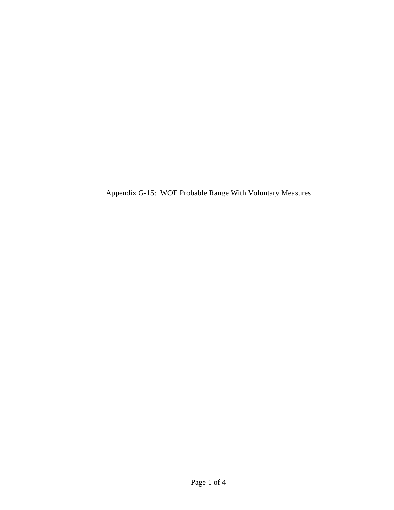Appendix G-15: WOE Probable Range With Voluntary Measures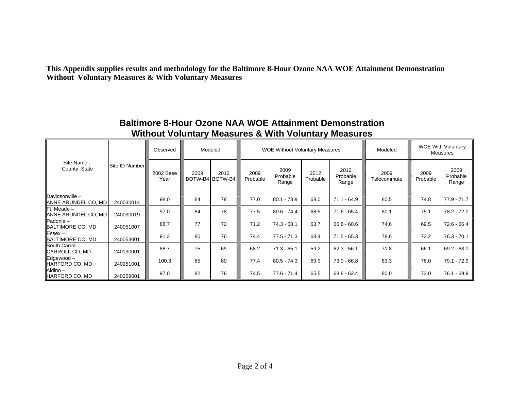**This Appendix supplies results and methodology for the Baltimore 8-Hour Ozone NAA WOE Attainment Demonstration Without Voluntary Measures & With Voluntary Measures** 

| Site Name -<br>County, State                      | Site ID Number | Observed          | Modeled |                         | <b>WOE Without Voluntary Measures</b> |                           |                  |                           | Modeled             | <b>WOE With Voluntary</b><br>Measures |                           |
|---------------------------------------------------|----------------|-------------------|---------|-------------------------|---------------------------------------|---------------------------|------------------|---------------------------|---------------------|---------------------------------------|---------------------------|
|                                                   |                | 2002 Base<br>Year | 2009    | 2012<br>BOTW-B4 BOTW-B4 | 2009<br>Probable                      | 2009<br>Probable<br>Range | 2012<br>Probable | 2012<br>Probable<br>Range | 2009<br>Telecommute | 2009<br>Probable                      | 2009<br>Probable<br>Range |
| Davidsonville-<br>ANNE ARUNDEL CO, MD             | 240030014      | 98.0              | 84      | 78                      | 77.0                                  | $80.1 - 73.9$             | 68.0             | $71.1 - 64.9$             | 80.5                | 74.8                                  | $77.9 - 71.7$             |
| <b>IFt.</b> Meade -<br><b>ANNE ARUNDEL CO, MD</b> | 240030019      | 97.0              | 84      | 78                      | 77.5                                  | $80.6 - 74.4$             | 68.5             | $71.6 - 65.4$             | 80.1                | 75.1                                  | 78.2 - 72.0               |
| Padonia –<br>BALTIMORE CO, MD                     | 240051007      | 88.7              | 77      | 72                      | 71.2                                  | 74.3 - 68.1               | 63.7             | $66.8 - 60.6$             | 74.6                | 69.5                                  | 72.6 - 66.4               |
| $Essex-$<br>BALTIMORE CO, MD                      | 240053001      | 91.3              | 80      | 76                      | 74.4                                  | $77.5 - 71.3$             | 68.4             | $71.5 - 65.3$             | 78.6                | 73.2                                  | $76.3 - 70.1$             |
| South Carroll -<br>CARROLL CO, MD                 | 240130001      | 88.7              | 75      | 69                      | 68.2                                  | $71.3 - 65.1$             | 59.2             | $62.3 - 56.1$             | 71.8                | 66.1                                  | $69.2 - 63.0$             |
| Edgewood-<br>HARFORD CO, MD                       | 240251001      | 100.3             | 85      | 80                      | 77.4                                  | $80.5 - 74.3$             | 69.9             | $73.0 - 66.8$             | 83.3                | 76.0                                  | $79.1 - 72.9$             |
| Aldino-<br>HARFORD CO, MD                         | 240259001      | 97.0              | 82      | 76                      | 74.5                                  | 77.6 - 71.4               | 65.5             | $68.6 - 62.4$             | 80.0                | 73.0                                  | 76.1 - 69.9               |

## **Baltimore 8-Hour Ozone NAA WOE Attainment Demonstration Without Voluntary Measures & With Voluntary Measures**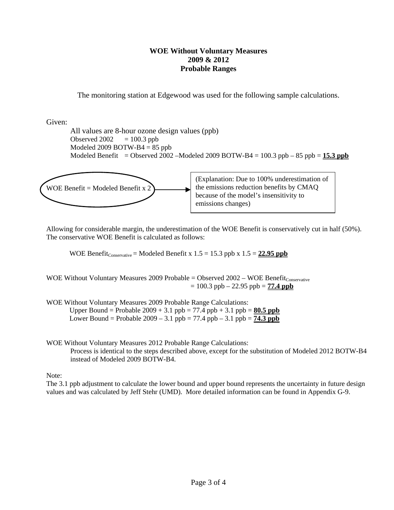## **WOE Without Voluntary Measures 2009 & 2012 Probable Ranges**

The monitoring station at Edgewood was used for the following sample calculations.

Given:

 All values are 8-hour ozone design values (ppb) Observed  $2002 = 100.3$  ppb Modeled 2009 BOTW-B4  $= 85$  ppb Modeled Benefit = Observed 2002 –Modeled 2009 BOTW-B4 =  $100.3$  ppb –  $85$  ppb =  $15.3$  ppb



Allowing for considerable margin, the underestimation of the WOE Benefit is conservatively cut in half (50%). The conservative WOE Benefit is calculated as follows:

WOE Benefit<sub>Conservative</sub> = Modeled Benefit x  $1.5 = 15.3$  ppb x  $1.5 = 22.95$  ppb

WOE Without Voluntary Measures 2009 Probable = Observed  $2002 - WOE$  Benefit $_{\text{Conservative}}$  $= 100.3$  ppb  $- 22.95$  ppb  $= 77.4$  ppb

WOE Without Voluntary Measures 2009 Probable Range Calculations:

Upper Bound = Probable  $2009 + 3.1$  ppb = 77.4 ppb + 3.1 ppb =  $80.5$  ppb Lower Bound = Probable  $2009 - 3.1$  ppb =  $77.4$  ppb  $- 3.1$  ppb =  $74.3$  ppb

WOE Without Voluntary Measures 2012 Probable Range Calculations: Process is identical to the steps described above, except for the substitution of Modeled 2012 BOTW-B4 instead of Modeled 2009 BOTW-B4.

Note:

The 3.1 ppb adjustment to calculate the lower bound and upper bound represents the uncertainty in future design values and was calculated by Jeff Stehr (UMD). More detailed information can be found in Appendix G-9.